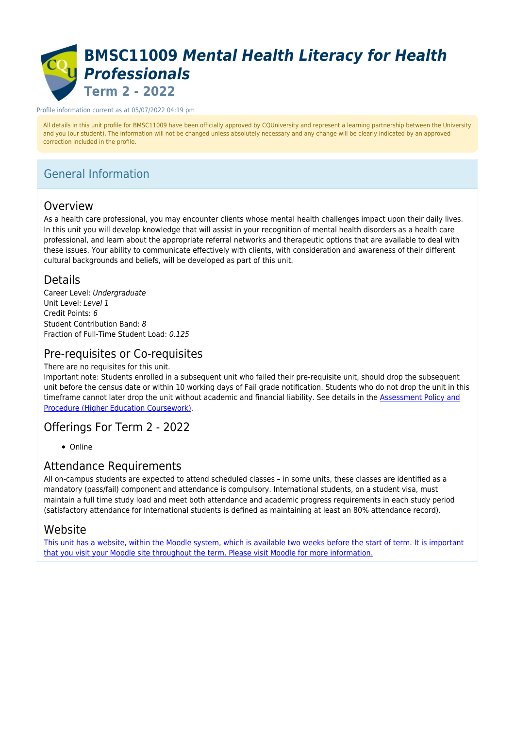# **BMSC11009** *Mental Health Literacy for Health Professionals* **Term 2 - 2022**

#### Profile information current as at 05/07/2022 04:19 pm

All details in this unit profile for BMSC11009 have been officially approved by CQUniversity and represent a learning partnership between the University and you (our student). The information will not be changed unless absolutely necessary and any change will be clearly indicated by an approved correction included in the profile.

# General Information

## Overview

As a health care professional, you may encounter clients whose mental health challenges impact upon their daily lives. In this unit you will develop knowledge that will assist in your recognition of mental health disorders as a health care professional, and learn about the appropriate referral networks and therapeutic options that are available to deal with these issues. Your ability to communicate effectively with clients, with consideration and awareness of their different cultural backgrounds and beliefs, will be developed as part of this unit.

### Details

Career Level: Undergraduate Unit Level: Level 1 Credit Points: 6 Student Contribution Band: 8 Fraction of Full-Time Student Load: 0.125

## Pre-requisites or Co-requisites

There are no requisites for this unit.

Important note: Students enrolled in a subsequent unit who failed their pre-requisite unit, should drop the subsequent unit before the census date or within 10 working days of Fail grade notification. Students who do not drop the unit in this timeframe cannot later drop the unit without academic and financial liability. See details in the [Assessment Policy and](https://www.cqu.edu.au/policy) [Procedure \(Higher Education Coursework\)](https://www.cqu.edu.au/policy).

### Offerings For Term 2 - 2022

• Online

### Attendance Requirements

All on-campus students are expected to attend scheduled classes – in some units, these classes are identified as a mandatory (pass/fail) component and attendance is compulsory. International students, on a student visa, must maintain a full time study load and meet both attendance and academic progress requirements in each study period (satisfactory attendance for International students is defined as maintaining at least an 80% attendance record).

### Website

[This unit has a website, within the Moodle system, which is available two weeks before the start of term. It is important](https://moodle.cqu.edu.au) [that you visit your Moodle site throughout the term. Please visit Moodle for more information.](https://moodle.cqu.edu.au)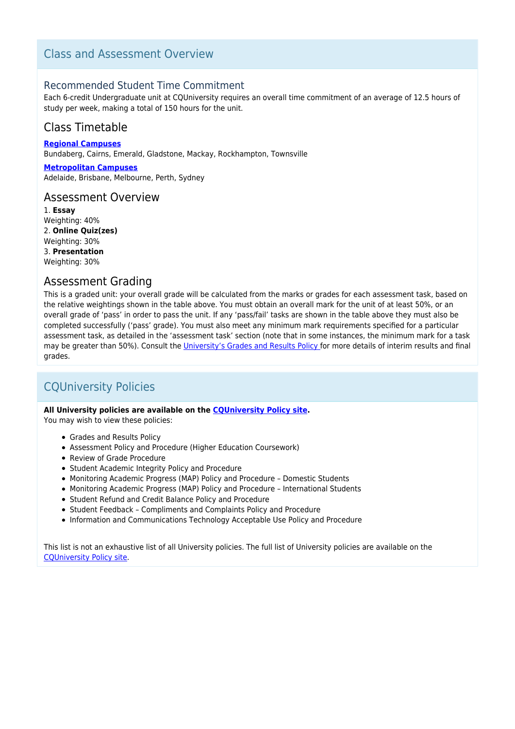## Class and Assessment Overview

### Recommended Student Time Commitment

Each 6-credit Undergraduate unit at CQUniversity requires an overall time commitment of an average of 12.5 hours of study per week, making a total of 150 hours for the unit.

## Class Timetable

**[Regional Campuses](https://handbook.cqu.edu.au/facet/timetables)** Bundaberg, Cairns, Emerald, Gladstone, Mackay, Rockhampton, Townsville

**[Metropolitan Campuses](https://handbook.cqu.edu.au/facet/timetables)** Adelaide, Brisbane, Melbourne, Perth, Sydney

### Assessment Overview

1. **Essay** Weighting: 40% 2. **Online Quiz(zes)** Weighting: 30% 3. **Presentation** Weighting: 30%

### Assessment Grading

This is a graded unit: your overall grade will be calculated from the marks or grades for each assessment task, based on the relative weightings shown in the table above. You must obtain an overall mark for the unit of at least 50%, or an overall grade of 'pass' in order to pass the unit. If any 'pass/fail' tasks are shown in the table above they must also be completed successfully ('pass' grade). You must also meet any minimum mark requirements specified for a particular assessment task, as detailed in the 'assessment task' section (note that in some instances, the minimum mark for a task may be greater than 50%). Consult the [University's Grades and Results Policy](https://www.cqu.edu.au/policy) for more details of interim results and final grades.

# CQUniversity Policies

#### **All University policies are available on the [CQUniversity Policy site.](https://policy.cqu.edu.au/)**

You may wish to view these policies:

- Grades and Results Policy
- Assessment Policy and Procedure (Higher Education Coursework)
- Review of Grade Procedure
- Student Academic Integrity Policy and Procedure
- Monitoring Academic Progress (MAP) Policy and Procedure Domestic Students
- Monitoring Academic Progress (MAP) Policy and Procedure International Students
- Student Refund and Credit Balance Policy and Procedure
- Student Feedback Compliments and Complaints Policy and Procedure
- Information and Communications Technology Acceptable Use Policy and Procedure

This list is not an exhaustive list of all University policies. The full list of University policies are available on the [CQUniversity Policy site.](https://policy.cqu.edu.au/)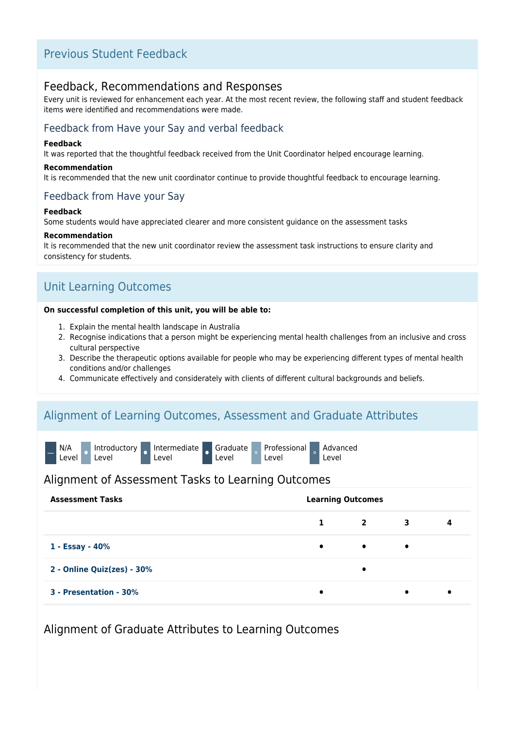## Previous Student Feedback

### Feedback, Recommendations and Responses

Every unit is reviewed for enhancement each year. At the most recent review, the following staff and student feedback items were identified and recommendations were made.

### Feedback from Have your Say and verbal feedback

#### **Feedback**

It was reported that the thoughtful feedback received from the Unit Coordinator helped encourage learning.

#### **Recommendation**

It is recommended that the new unit coordinator continue to provide thoughtful feedback to encourage learning.

### Feedback from Have your Say

#### **Feedback**

Some students would have appreciated clearer and more consistent guidance on the assessment tasks

### **Recommendation**

It is recommended that the new unit coordinator review the assessment task instructions to ensure clarity and consistency for students.

# Unit Learning Outcomes

#### **On successful completion of this unit, you will be able to:**

- 1. Explain the mental health landscape in Australia
- 2. Recognise indications that a person might be experiencing mental health challenges from an inclusive and cross cultural perspective
- 3. Describe the therapeutic options available for people who may be experiencing different types of mental health conditions and/or challenges
- 4. Communicate effectively and considerately with clients of different cultural backgrounds and beliefs.

### Alignment of Learning Outcomes, Assessment and Graduate Attributes

| N/A<br>Level |  | Introductory<br>Level |  | Intermediate Graduate<br>_evel |  | Level |  | <b>Professional</b><br>Level |  | Advanced<br>_evel |
|--------------|--|-----------------------|--|--------------------------------|--|-------|--|------------------------------|--|-------------------|
|--------------|--|-----------------------|--|--------------------------------|--|-------|--|------------------------------|--|-------------------|

### Alignment of Assessment Tasks to Learning Outcomes

| <b>Assessment Tasks</b>    |           | <b>Learning Outcomes</b> |   |           |  |  |
|----------------------------|-----------|--------------------------|---|-----------|--|--|
|                            | 1         | $\mathbf{2}$             | 3 | 4         |  |  |
| 1 - Essay - 40%            | $\bullet$ | $\bullet$                | ٠ |           |  |  |
| 2 - Online Quiz(zes) - 30% |           |                          |   |           |  |  |
| 3 - Presentation - 30%     | ٠         |                          | ٠ | $\bullet$ |  |  |

Alignment of Graduate Attributes to Learning Outcomes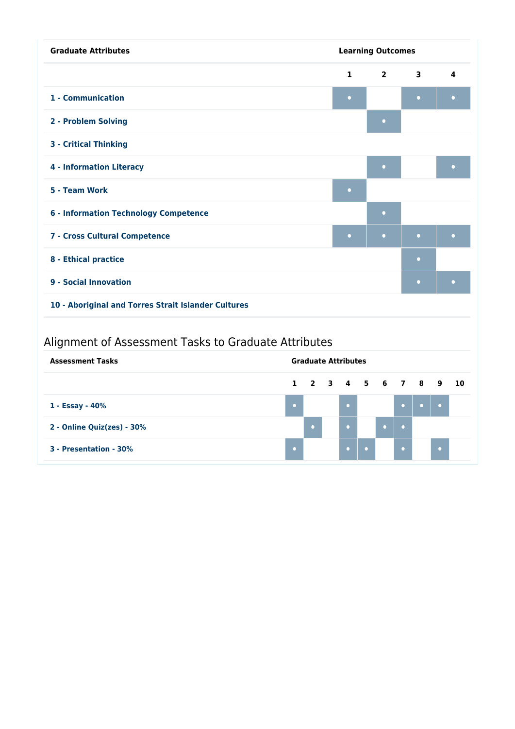| <b>Graduate Attributes</b>                          |              | <b>Learning Outcomes</b> |                         |           |  |  |  |
|-----------------------------------------------------|--------------|--------------------------|-------------------------|-----------|--|--|--|
|                                                     | $\mathbf{1}$ | $\overline{2}$           | $\overline{\mathbf{3}}$ | 4         |  |  |  |
| 1 - Communication                                   | $\bullet$    |                          | $\bullet$               | $\bullet$ |  |  |  |
| 2 - Problem Solving                                 |              | $\bullet$                |                         |           |  |  |  |
| <b>3 - Critical Thinking</b>                        |              |                          |                         |           |  |  |  |
| <b>4 - Information Literacy</b>                     |              | $\bullet$                |                         | $\bullet$ |  |  |  |
| 5 - Team Work                                       | $\Box$       |                          |                         |           |  |  |  |
| <b>6 - Information Technology Competence</b>        |              | $\bullet$                |                         |           |  |  |  |
| 7 - Cross Cultural Competence                       | $\bullet$    | $\bullet$                | $\bullet$               | $\bullet$ |  |  |  |
| 8 - Ethical practice                                |              |                          | $\bullet$               |           |  |  |  |
| 9 - Social Innovation                               |              | $\bullet$                | $\bullet$               |           |  |  |  |
| 10 - Aboriginal and Torres Strait Islander Cultures |              |                          |                         |           |  |  |  |

# Alignment of Assessment Tasks to Graduate Attributes

| <b>Assessment Tasks</b>    |  |  | <b>Graduate Attributes</b> |  |                      |  |           |  |  |
|----------------------------|--|--|----------------------------|--|----------------------|--|-----------|--|--|
|                            |  |  |                            |  | 1 2 3 4 5 6 7 8 9 10 |  |           |  |  |
| 1 - Essay - 40%            |  |  |                            |  |                      |  |           |  |  |
| 2 - Online Quiz(zes) - 30% |  |  |                            |  |                      |  |           |  |  |
| 3 - Presentation - 30%     |  |  |                            |  |                      |  | $\bullet$ |  |  |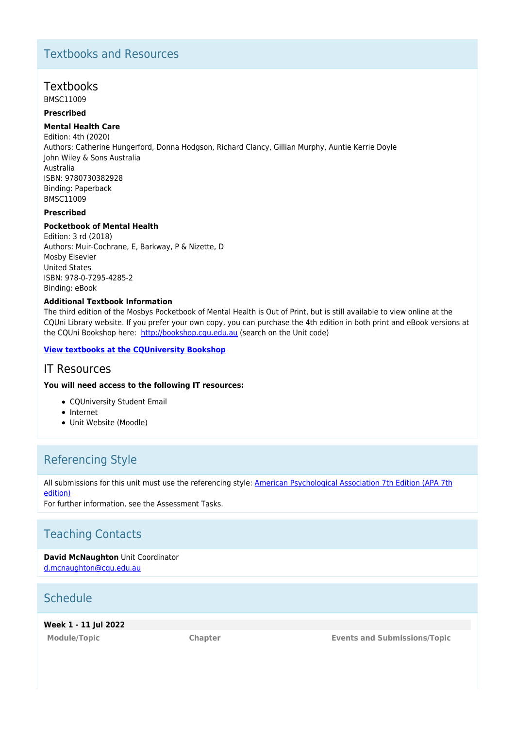# Textbooks and Resources

### Textbooks

BMSC11009

### **Prescribed**

#### **Mental Health Care**

Edition: 4th (2020) Authors: Catherine Hungerford, Donna Hodgson, Richard Clancy, Gillian Murphy, Auntie Kerrie Doyle John Wiley & Sons Australia Australia ISBN: 9780730382928 Binding: Paperback BMSC11009

### **Prescribed**

#### **Pocketbook of Mental Health**

Edition: 3 rd (2018) Authors: Muir-Cochrane, E, Barkway, P & Nizette, D Mosby Elsevier United States ISBN: 978-0-7295-4285-2 Binding: eBook

#### **Additional Textbook Information**

The third edition of the Mosbys Pocketbook of Mental Health is Out of Print, but is still available to view online at the CQUni Library website. If you prefer your own copy, you can purchase the 4th edition in both print and eBook versions at the CQUni Bookshop here: <http://bookshop.cqu.edu.au>(search on the Unit code)

#### **[View textbooks at the CQUniversity Bookshop](https://bookshop.cqu.edu.au/)**

### IT Resources

#### **You will need access to the following IT resources:**

- CQUniversity Student Email
- Internet
- Unit Website (Moodle)

# Referencing Style

All submissions for this unit must use the referencing style: [American Psychological Association 7th Edition \(APA 7th](https://delivery-cqucontenthub.stylelabs.cloud/api/public/content/apa-referencing-style.pdf?v=51e1aea7) [edition\)](https://delivery-cqucontenthub.stylelabs.cloud/api/public/content/apa-referencing-style.pdf?v=51e1aea7)

For further information, see the Assessment Tasks.

# Teaching Contacts

**David McNaughton** Unit Coordinator [d.mcnaughton@cqu.edu.au](mailto:d.mcnaughton@cqu.edu.au)

# Schedule

**Week 1 - 11 Jul 2022**

**Module/Topic Chapter Events and Submissions/Topic**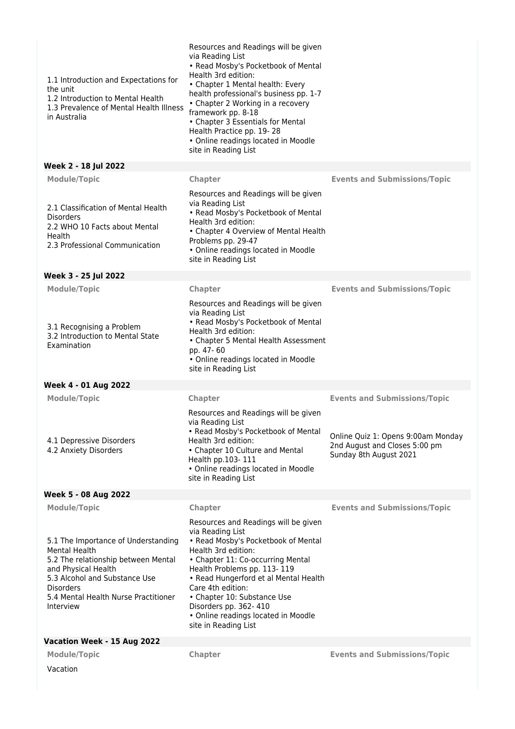| 1.1 Introduction and Expectations for<br>the unit<br>1.2 Introduction to Mental Health<br>1.3 Prevalence of Mental Health Illness<br>in Australia                                                                                   | Resources and Readings will be given<br>via Reading List<br>• Read Mosby's Pocketbook of Mental<br>Health 3rd edition:<br>• Chapter 1 Mental health: Every<br>health professional's business pp. 1-7<br>• Chapter 2 Working in a recovery<br>framework pp. 8-18<br>• Chapter 3 Essentials for Mental<br>Health Practice pp. 19-28<br>• Online readings located in Moodle<br>site in Reading List |                                                                                                                                      |
|-------------------------------------------------------------------------------------------------------------------------------------------------------------------------------------------------------------------------------------|--------------------------------------------------------------------------------------------------------------------------------------------------------------------------------------------------------------------------------------------------------------------------------------------------------------------------------------------------------------------------------------------------|--------------------------------------------------------------------------------------------------------------------------------------|
| Week 2 - 18 Jul 2022                                                                                                                                                                                                                |                                                                                                                                                                                                                                                                                                                                                                                                  |                                                                                                                                      |
| <b>Module/Topic</b>                                                                                                                                                                                                                 | Chapter                                                                                                                                                                                                                                                                                                                                                                                          | <b>Events and Submissions/Topic</b>                                                                                                  |
| 2.1 Classification of Mental Health<br><b>Disorders</b><br>2.2 WHO 10 Facts about Mental<br>Health<br>2.3 Professional Communication                                                                                                | Resources and Readings will be given<br>via Reading List<br>• Read Mosby's Pocketbook of Mental<br>Health 3rd edition:<br>• Chapter 4 Overview of Mental Health<br>Problems pp. 29-47<br>• Online readings located in Moodle<br>site in Reading List                                                                                                                                             |                                                                                                                                      |
| Week 3 - 25 Jul 2022                                                                                                                                                                                                                |                                                                                                                                                                                                                                                                                                                                                                                                  |                                                                                                                                      |
| <b>Module/Topic</b>                                                                                                                                                                                                                 | Chapter                                                                                                                                                                                                                                                                                                                                                                                          | <b>Events and Submissions/Topic</b>                                                                                                  |
| 3.1 Recognising a Problem<br>3.2 Introduction to Mental State<br>Examination                                                                                                                                                        | Resources and Readings will be given<br>via Reading List<br>• Read Mosby's Pocketbook of Mental<br>Health 3rd edition:<br>• Chapter 5 Mental Health Assessment<br>pp. 47-60<br>• Online readings located in Moodle<br>site in Reading List                                                                                                                                                       |                                                                                                                                      |
| Week 4 - 01 Aug 2022                                                                                                                                                                                                                |                                                                                                                                                                                                                                                                                                                                                                                                  |                                                                                                                                      |
| <b>Module/Topic</b><br>4.1 Depressive Disorders<br>4.2 Anxiety Disorders                                                                                                                                                            | Chapter<br>Resources and Readings will be given<br>via Reading List<br>• Read Mosby's Pocketbook of Mental<br>Health 3rd edition:<br>• Chapter 10 Culture and Mental<br>Health pp.103-111<br>• Online readings located in Moodle<br>site in Reading List                                                                                                                                         | <b>Events and Submissions/Topic</b><br>Online Quiz 1: Opens 9:00am Monday<br>2nd August and Closes 5:00 pm<br>Sunday 8th August 2021 |
| Week 5 - 08 Aug 2022                                                                                                                                                                                                                |                                                                                                                                                                                                                                                                                                                                                                                                  |                                                                                                                                      |
| <b>Module/Topic</b>                                                                                                                                                                                                                 | Chapter                                                                                                                                                                                                                                                                                                                                                                                          | <b>Events and Submissions/Topic</b>                                                                                                  |
| 5.1 The Importance of Understanding<br><b>Mental Health</b><br>5.2 The relationship between Mental<br>and Physical Health<br>5.3 Alcohol and Substance Use<br><b>Disorders</b><br>5.4 Mental Health Nurse Practitioner<br>Interview | Resources and Readings will be given<br>via Reading List<br>• Read Mosby's Pocketbook of Mental<br>Health 3rd edition:<br>• Chapter 11: Co-occurring Mental<br>Health Problems pp. 113-119<br>• Read Hungerford et al Mental Health<br>Care 4th edition:<br>• Chapter 10: Substance Use<br>Disorders pp. 362-410<br>• Online readings located in Moodle<br>site in Reading List                  |                                                                                                                                      |
| Vacation Week - 15 Aug 2022                                                                                                                                                                                                         |                                                                                                                                                                                                                                                                                                                                                                                                  |                                                                                                                                      |
| <b>Module/Topic</b>                                                                                                                                                                                                                 | Chapter                                                                                                                                                                                                                                                                                                                                                                                          | <b>Events and Submissions/Topic</b>                                                                                                  |
| Vacation                                                                                                                                                                                                                            |                                                                                                                                                                                                                                                                                                                                                                                                  |                                                                                                                                      |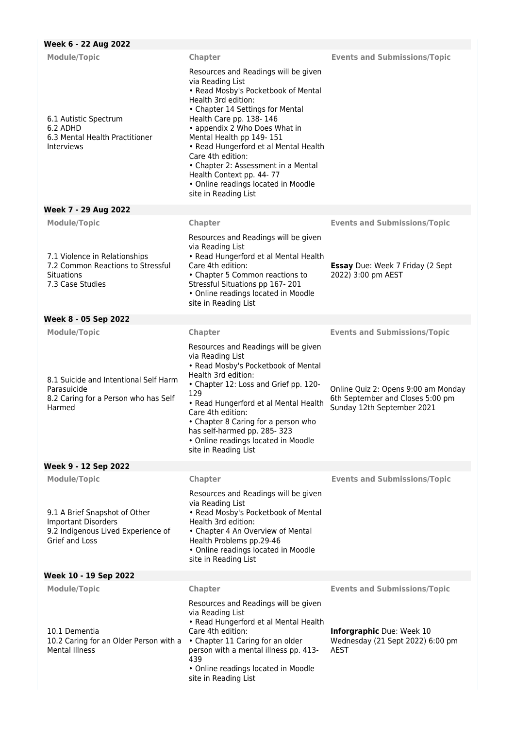| Week 6 - 22 Aug 2022                                                                                                                       |                                                                                                                                                                                                                                                                                                                                                                                                                                                    |                                                                                                       |
|--------------------------------------------------------------------------------------------------------------------------------------------|----------------------------------------------------------------------------------------------------------------------------------------------------------------------------------------------------------------------------------------------------------------------------------------------------------------------------------------------------------------------------------------------------------------------------------------------------|-------------------------------------------------------------------------------------------------------|
| <b>Module/Topic</b>                                                                                                                        | Chapter                                                                                                                                                                                                                                                                                                                                                                                                                                            | <b>Events and Submissions/Topic</b>                                                                   |
| 6.1 Autistic Spectrum<br>6.2 ADHD<br>6.3 Mental Health Practitioner<br><b>Interviews</b>                                                   | Resources and Readings will be given<br>via Reading List<br>• Read Mosby's Pocketbook of Mental<br>Health 3rd edition:<br>• Chapter 14 Settings for Mental<br>Health Care pp. 138-146<br>• appendix 2 Who Does What in<br>Mental Health pp 149-151<br>• Read Hungerford et al Mental Health<br>Care 4th edition:<br>• Chapter 2: Assessment in a Mental<br>Health Context pp. 44-77<br>• Online readings located in Moodle<br>site in Reading List |                                                                                                       |
| Week 7 - 29 Aug 2022                                                                                                                       |                                                                                                                                                                                                                                                                                                                                                                                                                                                    |                                                                                                       |
| <b>Module/Topic</b>                                                                                                                        | Chapter                                                                                                                                                                                                                                                                                                                                                                                                                                            | <b>Events and Submissions/Topic</b>                                                                   |
| 7.1 Violence in Relationships<br>7.2 Common Reactions to Stressful<br><b>Situations</b><br>7.3 Case Studies                                | Resources and Readings will be given<br>via Reading List<br>• Read Hungerford et al Mental Health<br>Care 4th edition:<br>• Chapter 5 Common reactions to<br>Stressful Situations pp 167-201<br>• Online readings located in Moodle<br>site in Reading List                                                                                                                                                                                        | <b>Essay</b> Due: Week 7 Friday (2 Sept<br>2022) 3:00 pm AEST                                         |
| Week 8 - 05 Sep 2022                                                                                                                       |                                                                                                                                                                                                                                                                                                                                                                                                                                                    |                                                                                                       |
| <b>Module/Topic</b>                                                                                                                        | Chapter                                                                                                                                                                                                                                                                                                                                                                                                                                            | <b>Events and Submissions/Topic</b>                                                                   |
| 8.1 Suicide and Intentional Self Harm<br>Parasuicide<br>8.2 Caring for a Person who has Self<br>Harmed                                     | Resources and Readings will be given<br>via Reading List<br>• Read Mosby's Pocketbook of Mental<br>Health 3rd edition:<br>• Chapter 12: Loss and Grief pp. 120-<br>129<br>• Read Hungerford et al Mental Health<br>Care 4th edition:<br>• Chapter 8 Caring for a person who<br>has self-harmed pp. 285-323<br>• Online readings located in Moodle<br>site in Reading List                                                                          | Online Quiz 2: Opens 9:00 am Monday<br>6th September and Closes 5:00 pm<br>Sunday 12th September 2021 |
| Week 9 - 12 Sep 2022                                                                                                                       |                                                                                                                                                                                                                                                                                                                                                                                                                                                    |                                                                                                       |
| <b>Module/Topic</b><br>9.1 A Brief Snapshot of Other<br><b>Important Disorders</b><br>9.2 Indigenous Lived Experience of<br>Grief and Loss | Chapter<br>Resources and Readings will be given<br>via Reading List<br>• Read Mosby's Pocketbook of Mental<br>Health 3rd edition:<br>• Chapter 4 An Overview of Mental<br>Health Problems pp.29-46<br>• Online readings located in Moodle<br>site in Reading List                                                                                                                                                                                  | <b>Events and Submissions/Topic</b>                                                                   |
| Week 10 - 19 Sep 2022                                                                                                                      |                                                                                                                                                                                                                                                                                                                                                                                                                                                    |                                                                                                       |
| <b>Module/Topic</b>                                                                                                                        | Chapter                                                                                                                                                                                                                                                                                                                                                                                                                                            | <b>Events and Submissions/Topic</b>                                                                   |
| 10.1 Dementia<br>10.2 Caring for an Older Person with a<br><b>Mental Illness</b>                                                           | Resources and Readings will be given<br>via Reading List<br>• Read Hungerford et al Mental Health<br>Care 4th edition:<br>• Chapter 11 Caring for an older<br>person with a mental illness pp. 413-<br>439<br>· Online readings located in Moodle<br>site in Reading List                                                                                                                                                                          | Inforgraphic Due: Week 10<br>Wednesday (21 Sept 2022) 6:00 pm<br><b>AEST</b>                          |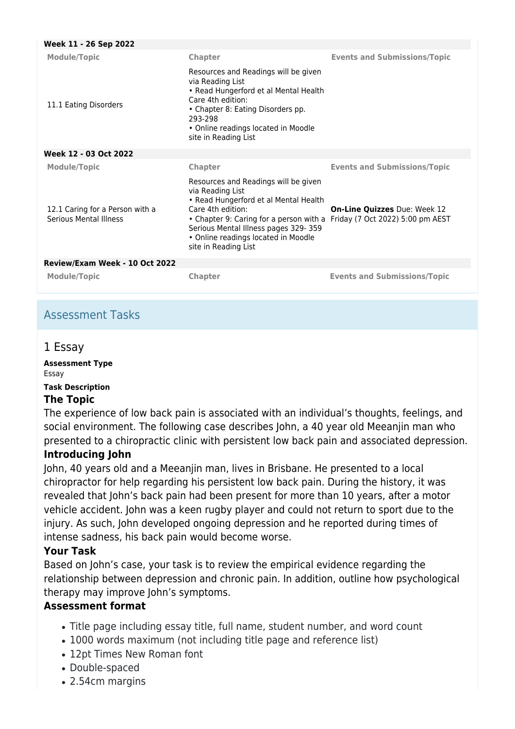| Week 11 - 26 Sep 2022                                            |                                                                                                                                                                                                                                                                                                           |                                     |  |  |
|------------------------------------------------------------------|-----------------------------------------------------------------------------------------------------------------------------------------------------------------------------------------------------------------------------------------------------------------------------------------------------------|-------------------------------------|--|--|
| <b>Module/Topic</b>                                              | <b>Chapter</b>                                                                                                                                                                                                                                                                                            | <b>Events and Submissions/Topic</b> |  |  |
| 11.1 Eating Disorders                                            | Resources and Readings will be given<br>via Reading List<br>• Read Hungerford et al Mental Health<br>Care 4th edition:<br>• Chapter 8: Eating Disorders pp.<br>293-298<br>• Online readings located in Moodle<br>site in Reading List                                                                     |                                     |  |  |
| Week 12 - 03 Oct 2022                                            |                                                                                                                                                                                                                                                                                                           |                                     |  |  |
| <b>Module/Topic</b>                                              | <b>Chapter</b>                                                                                                                                                                                                                                                                                            | <b>Events and Submissions/Topic</b> |  |  |
| 12.1 Caring for a Person with a<br><b>Serious Mental Illness</b> | Resources and Readings will be given<br>via Reading List<br>• Read Hungerford et al Mental Health<br>Care 4th edition:<br>• Chapter 9: Caring for a person with a Friday (7 Oct 2022) 5:00 pm AEST<br>Serious Mental Illness pages 329-359<br>• Online readings located in Moodle<br>site in Reading List | On-Line Quizzes Due: Week 12        |  |  |
| Review/Exam Week - 10 Oct 2022                                   |                                                                                                                                                                                                                                                                                                           |                                     |  |  |
| <b>Module/Topic</b>                                              | <b>Chapter</b>                                                                                                                                                                                                                                                                                            | <b>Events and Submissions/Topic</b> |  |  |

# Assessment Tasks

## 1 Essay

**Assessment Type** Essay **Task Description**

### **The Topic**

The experience of low back pain is associated with an individual's thoughts, feelings, and social environment. The following case describes John, a 40 year old Meeanjin man who presented to a chiropractic clinic with persistent low back pain and associated depression.

### **Introducing John**

John, 40 years old and a Meeanjin man, lives in Brisbane. He presented to a local chiropractor for help regarding his persistent low back pain. During the history, it was revealed that John's back pain had been present for more than 10 years, after a motor vehicle accident. John was a keen rugby player and could not return to sport due to the injury. As such, John developed ongoing depression and he reported during times of intense sadness, his back pain would become worse.

### **Your Task**

Based on John's case, your task is to review the empirical evidence regarding the relationship between depression and chronic pain. In addition, outline how psychological therapy may improve John's symptoms.

### **Assessment format**

- Title page including essay title, full name, student number, and word count
- 1000 words maximum (not including title page and reference list)
- 12pt Times New Roman font
- Double-spaced
- 2.54cm margins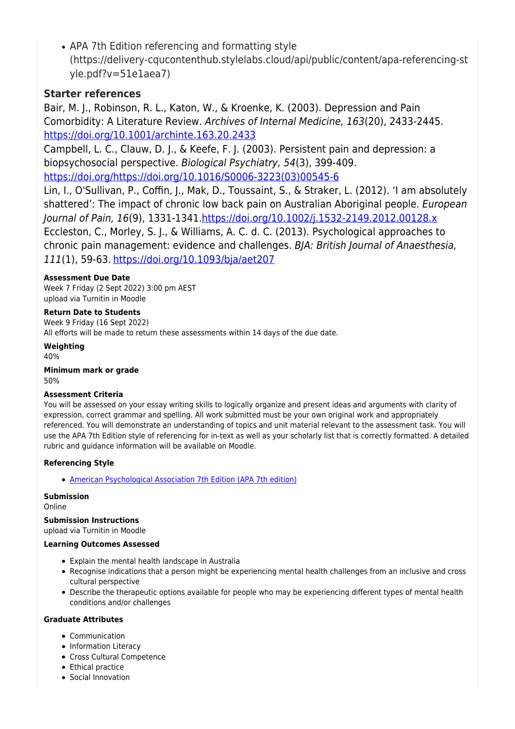• APA 7th Edition referencing and formatting style (https://delivery-cqucontenthub.stylelabs.cloud/api/public/content/apa-referencing-st yle.pdf?v=51e1aea7)

### **Starter references**

Bair, M. J., Robinson, R. L., Katon, W., & Kroenke, K. (2003). Depression and Pain Comorbidity: A Literature Review. Archives of Internal Medicine, 163(20), 2433-2445. <https://doi.org/10.1001/archinte.163.20.2433>

Campbell, L. C., Clauw, D. J., & Keefe, F. J. (2003). Persistent pain and depression: a biopsychosocial perspective. Biological Psychiatry, 54(3), 399-409. [https://doi.org/https://doi.org/10.1016/S0006-3223\(03\)00545-6](https://doi.org/https:/doi.org/10.1016/S0006-3223(03)00545-6)

Lin, I., O'Sullivan, P., Coffin, J., Mak, D., Toussaint, S., & Straker, L. (2012). 'I am absolutely shattered': The impact of chronic low back pain on Australian Aboriginal people. European Journal of Pain, 16(9), 1331-1341[.https://doi.org/10.1002/j.1532-2149.2012.00128.x](https://doi.org/10.1002/j.1532-2149.2012.00128.x) Eccleston, C., Morley, S. J., & Williams, A. C. d. C. (2013). Psychological approaches to chronic pain management: evidence and challenges. BJA: British Journal of Anaesthesia, 111(1), 59-63. <https://doi.org/10.1093/bja/aet207>

### **Assessment Due Date**

Week 7 Friday (2 Sept 2022) 3:00 pm AEST upload via Turnitin in Moodle

### **Return Date to Students**

Week 9 Friday (16 Sept 2022) All efforts will be made to return these assessments within 14 days of the due date.

### **Weighting**

40%

**Minimum mark or grade** 50%

#### **Assessment Criteria**

You will be assessed on your essay writing skills to logically organize and present ideas and arguments with clarity of expression, correct grammar and spelling. All work submitted must be your own original work and appropriately referenced. You will demonstrate an understanding of topics and unit material relevant to the assessment task. You will use the APA 7th Edition style of referencing for in-text as well as your scholarly list that is correctly formatted. A detailed rubric and guidance information will be available on Moodle.

#### **Referencing Style**

[American Psychological Association 7th Edition \(APA 7th edition\)](https://delivery-cqucontenthub.stylelabs.cloud/api/public/content/apa-referencing-style.pdf?v=51e1aea7)

#### **Submission**

Online

### **Submission Instructions**

upload via Turnitin in Moodle

#### **Learning Outcomes Assessed**

- Explain the mental health landscape in Australia
- Recognise indications that a person might be experiencing mental health challenges from an inclusive and cross cultural perspective
- Describe the therapeutic options available for people who may be experiencing different types of mental health conditions and/or challenges

#### **Graduate Attributes**

- Communication
- Information Literacy
- Cross Cultural Competence
- Ethical practice
- Social Innovation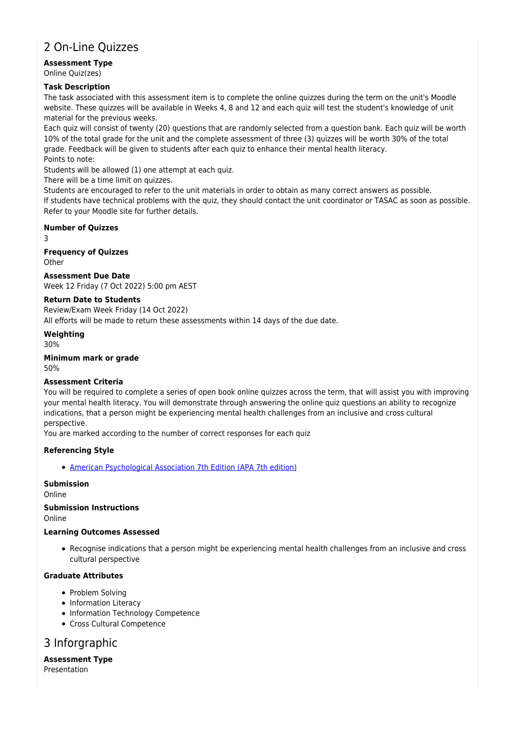# 2 On-Line Quizzes

#### **Assessment Type** Online Quiz(zes)

#### **Task Description**

The task associated with this assessment item is to complete the online quizzes during the term on the unit's Moodle website. These quizzes will be available in Weeks 4, 8 and 12 and each quiz will test the student's knowledge of unit material for the previous weeks.

Each quiz will consist of twenty (20) questions that are randomly selected from a question bank. Each quiz will be worth 10% of the total grade for the unit and the complete assessment of three (3) quizzes will be worth 30% of the total grade. Feedback will be given to students after each quiz to enhance their mental health literacy. Points to note:

Students will be allowed (1) one attempt at each quiz.

There will be a time limit on quizzes.

Students are encouraged to refer to the unit materials in order to obtain as many correct answers as possible. If students have technical problems with the quiz, they should contact the unit coordinator or TASAC as soon as possible. Refer to your Moodle site for further details.

#### **Number of Quizzes**

3

**Frequency of Quizzes Other** 

**Assessment Due Date**

Week 12 Friday (7 Oct 2022) 5:00 pm AEST

### **Return Date to Students**

Review/Exam Week Friday (14 Oct 2022) All efforts will be made to return these assessments within 14 days of the due date.

**Weighting** 30%

**Minimum mark or grade** 50%

#### **Assessment Criteria**

You will be required to complete a series of open book online quizzes across the term, that will assist you with improving your mental health literacy. You will demonstrate through answering the online quiz questions an ability to recognize indications, that a person might be experiencing mental health challenges from an inclusive and cross cultural perspective.

You are marked according to the number of correct responses for each quiz

#### **Referencing Style**

[American Psychological Association 7th Edition \(APA 7th edition\)](https://delivery-cqucontenthub.stylelabs.cloud/api/public/content/apa-referencing-style.pdf?v=51e1aea7)

### **Submission**

Online

**Submission Instructions** Online

#### **Learning Outcomes Assessed**

Recognise indications that a person might be experiencing mental health challenges from an inclusive and cross cultural perspective

### **Graduate Attributes**

- Problem Solving
- Information Literacy
- Information Technology Competence
- Cross Cultural Competence

# 3 Inforgraphic

**Assessment Type** Presentation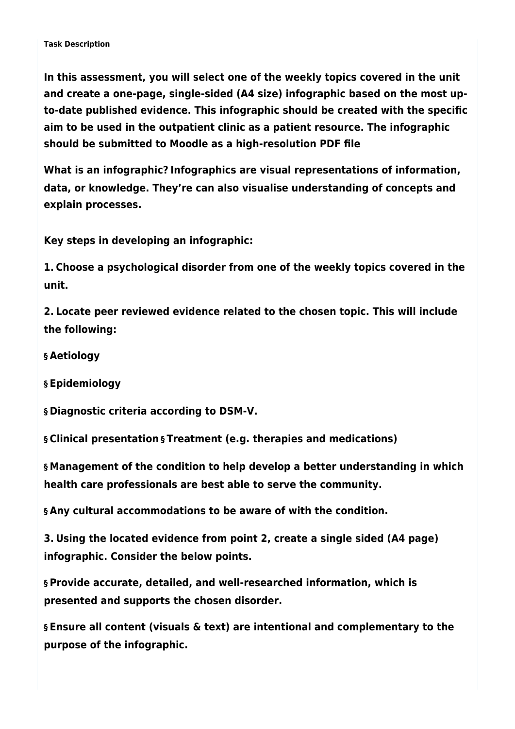**In this assessment, you will select one of the weekly topics covered in the unit and create a one-page, single-sided (A4 size) infographic based on the most upto-date published evidence. This infographic should be created with the specific aim to be used in the outpatient clinic as a patient resource. The infographic should be submitted to Moodle as a high-resolution PDF file**

**What is an infographic? Infographics are visual representations of information, data, or knowledge. They're can also visualise understanding of concepts and explain processes.**

**Key steps in developing an infographic:**

**1. Choose a psychological disorder from one of the weekly topics covered in the unit.**

**2. Locate peer reviewed evidence related to the chosen topic. This will include the following:**

**§ Aetiology**

**§ Epidemiology**

**§ Diagnostic criteria according to DSM-V.**

**§ Clinical presentation § Treatment (e.g. therapies and medications)**

**§ Management of the condition to help develop a better understanding in which health care professionals are best able to serve the community.**

**§ Any cultural accommodations to be aware of with the condition.**

**3. Using the located evidence from point 2, create a single sided (A4 page) infographic. Consider the below points.**

**§ Provide accurate, detailed, and well-researched information, which is presented and supports the chosen disorder.**

**§ Ensure all content (visuals & text) are intentional and complementary to the purpose of the infographic.**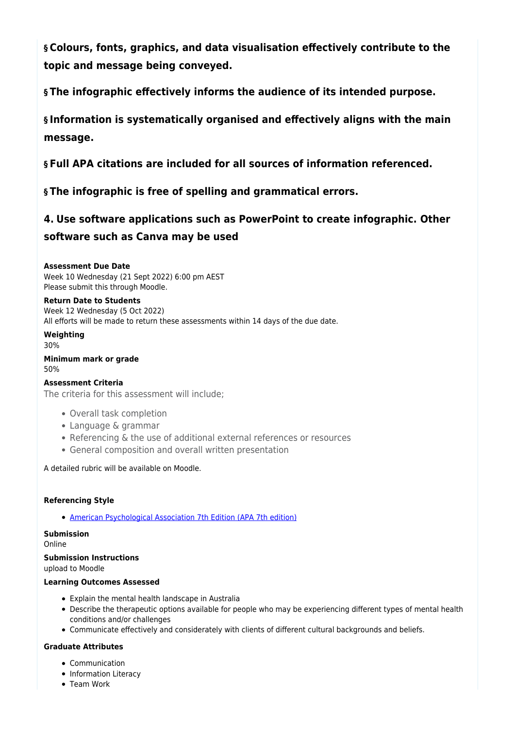**§ Colours, fonts, graphics, and data visualisation effectively contribute to the topic and message being conveyed.**

**§ The infographic effectively informs the audience of its intended purpose.**

**§ Information is systematically organised and effectively aligns with the main message.**

**§ Full APA citations are included for all sources of information referenced.**

**§ The infographic is free of spelling and grammatical errors.**

# **4. Use software applications such as PowerPoint to create infographic. Other software such as Canva may be used**

**Assessment Due Date** Week 10 Wednesday (21 Sept 2022) 6:00 pm AEST Please submit this through Moodle.

**Return Date to Students** Week 12 Wednesday (5 Oct 2022)

All efforts will be made to return these assessments within 14 days of the due date.

**Weighting** 30%

**Minimum mark or grade** 50%

#### **Assessment Criteria**

The criteria for this assessment will include;

- Overall task completion
- Language & grammar
- Referencing & the use of additional external references or resources
- General composition and overall written presentation

A detailed rubric will be available on Moodle.

#### **Referencing Style**

[American Psychological Association 7th Edition \(APA 7th edition\)](https://delivery-cqucontenthub.stylelabs.cloud/api/public/content/apa-referencing-style.pdf?v=51e1aea7)

**Submission** Online

### **Submission Instructions**

upload to Moodle

#### **Learning Outcomes Assessed**

- Explain the mental health landscape in Australia
- Describe the therapeutic options available for people who may be experiencing different types of mental health conditions and/or challenges
- Communicate effectively and considerately with clients of different cultural backgrounds and beliefs.

#### **Graduate Attributes**

- Communication
- Information Literacy
- Team Work